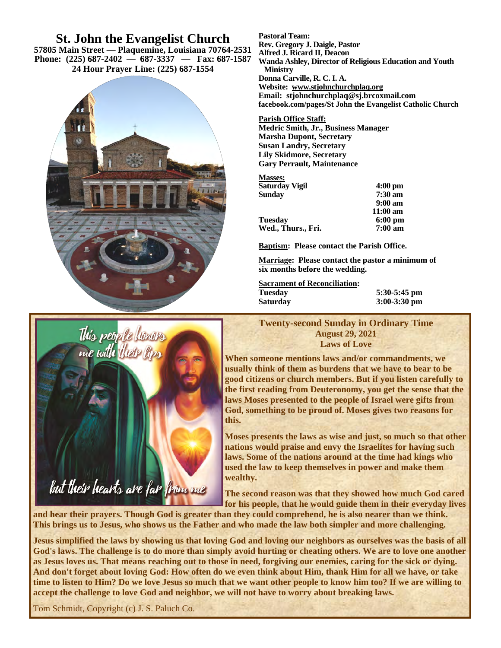## **St. John the Evangelist Church**

**57805 Main Street — Plaquemine, Louisiana 70764-2531 Phone: (225) 687-2402 — 687-3337 — Fax: 687-1587 24 Hour Prayer Line: (225) 687-1554**



**Pastoral Team:**

**Rev. Gregory J. Daigle, Pastor** 

**Alfred J. Ricard II, Deacon** 

**Wanda Ashley, Director of Religious Education and Youth Ministry Donna Carville, R. C. I. A.** 

**Website: www.stjohnchurchplaq.org Email: stjohnchurchplaq@sj.brcoxmail.com facebook.com/pages/St John the Evangelist Catholic Church** 

#### **Parish Office Staff:**

**Medric Smith, Jr., Business Manager Marsha Dupont, Secretary Susan Landry, Secretary Lily Skidmore, Secretary Gary Perrault, Maintenance** 

#### **Masses:**

| Saturday Vigil     | $4:00 \text{ pm}$  |
|--------------------|--------------------|
| Sundav             | $7:30 \text{ am}$  |
|                    | $9:00 \text{ am}$  |
|                    | $11:00 \text{ am}$ |
| Tuesdav            | $6:00 \text{ pm}$  |
| Wed., Thurs., Fri. | $7:00 \text{ am}$  |
|                    |                    |

**Baptism: Please contact the Parish Office.** 

**Marriage: Please contact the pastor a minimum of six months before the wedding.** 

| <b>Sacrament of Reconciliation:</b> |                |
|-------------------------------------|----------------|
| <b>Tuesday</b>                      | $5:30-5:45$ pm |
| <b>Saturday</b>                     | $3:00-3:30$ pm |

**Twenty-second Sunday in Ordinary Time August 29, 2021 Laws of Love** 

**When someone mentions laws and/or commandments, we usually think of them as burdens that we have to bear to be good citizens or church members. But if you listen carefully to the first reading from Deuteronomy, you get the sense that the laws Moses presented to the people of Israel were gifts from God, something to be proud of. Moses gives two reasons for this.** 

**Moses presents the laws as wise and just, so much so that other nations would praise and envy the Israelites for having such laws. Some of the nations around at the time had kings who used the law to keep themselves in power and make them wealthy.** 

**The second reason was that they showed how much God cared for his people, that he would guide them in their everyday lives** 

**and hear their prayers. Though God is greater than they could comprehend, he is also nearer than we think. This brings us to Jesus, who shows us the Father and who made the law both simpler and more challenging.** 

**Jesus simplified the laws by showing us that loving God and loving our neighbors as ourselves was the basis of all God's laws. The challenge is to do more than simply avoid hurting or cheating others. We are to love one another as Jesus loves us. That means reaching out to those in need, forgiving our enemies, caring for the sick or dying. And don't forget about loving God: How often do we even think about Him, thank Him for all we have, or take time to listen to Him? Do we love Jesus so much that we want other people to know him too? If we are willing to accept the challenge to love God and neighbor, we will not have to worry about breaking laws.** 

Tom Schmidt, Copyright (c) J. S. Paluch Co.

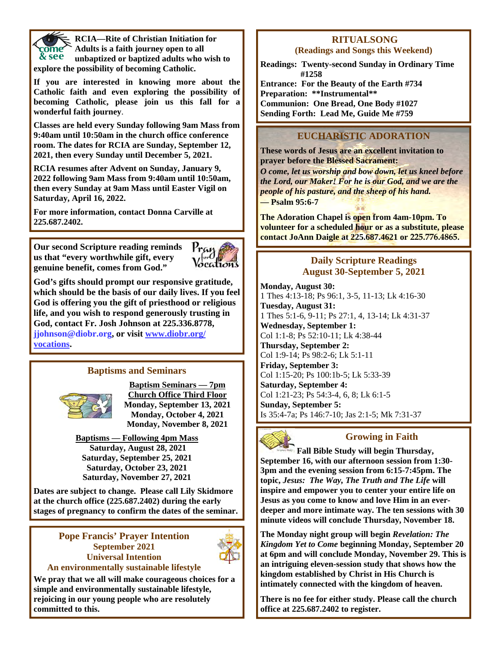

**RCIA—Rite of Christian Initiation for Adults is a faith journey open to all unbaptized or baptized adults who wish to explore the possibility of becoming Catholic.** 

**If you are interested in knowing more about the Catholic faith and even exploring the possibility of becoming Catholic, please join us this fall for a wonderful faith journey**.

**Classes are held every Sunday following 9am Mass from 9:40am until 10:50am in the church office conference room. The dates for RCIA are Sunday, September 12, 2021, then every Sunday until December 5, 2021.** 

**RCIA resumes after Advent on Sunday, January 9, 2022 following 9am Mass from 9:40am until 10:50am, then every Sunday at 9am Mass until Easter Vigil on Saturday, April 16, 2022.** 

**For more information, contact Donna Carville at 225.687.2402.**

**Our second Scripture reading reminds us that "every worthwhile gift, every genuine benefit, comes from God."** 



**God's gifts should prompt our responsive gratitude, which should be the basis of our daily lives. If you feel God is offering you the gift of priesthood or religious life, and you wish to respond generously trusting in God, contact Fr. Josh Johnson at 225.336.8778, jjohnson@diobr.org, or visit www.diobr.org/ vocations.** 

#### **Baptisms and Seminars**



**Baptism Seminars — 7pm Church Office Third Floor Monday, September 13, 2021 Monday, October 4, 2021 Monday, November 8, 2021** 

**Baptisms — Following 4pm Mass Saturday, August 28, 2021 Saturday, September 25, 2021 Saturday, October 23, 2021 Saturday, November 27, 2021** 

**Dates are subject to change. Please call Lily Skidmore at the church office (225.687.2402) during the early stages of pregnancy to confirm the dates of the seminar.**

#### **Pope Francis' Prayer Intention September 2021 Universal Intention An environmentally sustainable lifestyle**



**We pray that we all will make courageous choices for a simple and environmentally sustainable lifestyle, rejoicing in our young people who are resolutely committed to this.** 

# **RITUALSONG**

**(Readings and Songs this Weekend)** 

**Readings: Twenty-second Sunday in Ordinary Time #1258** 

**Entrance: For the Beauty of the Earth #734 Preparation: \*\*Instrumental\*\* Communion: One Bread, One Body #1027 Sending Forth: Lead Me, Guide Me #759** 

## **EUCHARISTIC ADORATION**

**These words of Jesus are an excellent invitation to prayer before the Blessed Sacrament:**  *O come, let us worship and bow down, let us kneel before the Lord, our Maker! For he is our God, and we are the people of his pasture, and the sheep of his hand.*  **— Psalm 95:6-7** 

**The Adoration Chapel is open from 4am-10pm. To volunteer for a scheduled hour or as a substitute, please contact JoAnn Daigle at 225.687.4621 or 225.776.4865.** 

#### **Daily Scripture Readings August 30-September 5, 2021**

**Monday, August 30:**  1 Thes 4:13-18; Ps 96:1, 3-5, 11-13; Lk 4:16-30 **Tuesday, August 31:**  1 Thes 5:1-6, 9-11; Ps 27:1, 4, 13-14; Lk 4:31-37 **Wednesday, September 1:**  Col 1:1-8; Ps 52:10-11; Lk 4:38-44 **Thursday, September 2:**  Col 1:9-14; Ps 98:2-6; Lk 5:1-11 **Friday, September 3:**  Col 1:15-20; Ps 100:1b-5; Lk 5:33-39 **Saturday, September 4:**  Col 1:21-23; Ps 54:3-4, 6, 8; Lk 6:1-5 **Sunday, September 5:**  Is 35:4-7a; Ps 146:7-10; Jas 2:1-5; Mk 7:31-37



### **Growing in Faith**

**Fall Bible Study will begin Thursday, September 16, with our afternoon session from 1:30- 3pm and the evening session from 6:15-7:45pm. The topic,** *Jesus: The Way, The Truth and The Life* **will inspire and empower you to center your entire life on Jesus as you come to know and love Him in an everdeeper and more intimate way. The ten sessions with 30 minute videos will conclude Thursday, November 18.** 

**The Monday night group will begin** *Revelation: The Kingdom Yet to Come* **beginning Monday, September 20 at 6pm and will conclude Monday, November 29. This is an intriguing eleven-session study that shows how the kingdom established by Christ in His Church is intimately connected with the kingdom of heaven.** 

**There is no fee for either study. Please call the church office at 225.687.2402 to register.**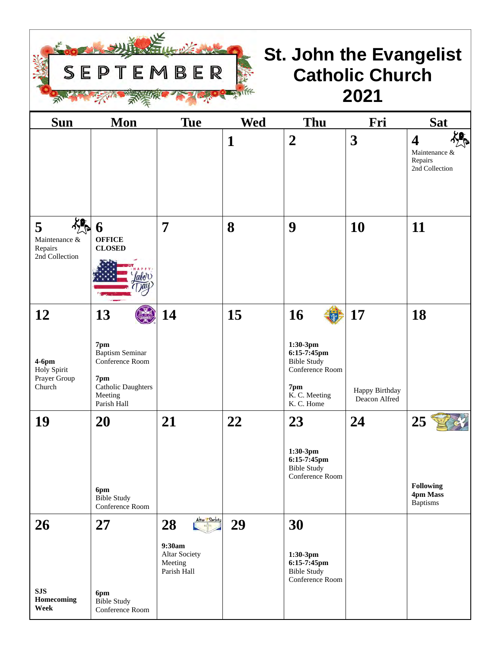

# **St. John the Evangelist Catholic Church 2021**

| <b>Sun</b>                                            | Mon                                                                                                     | <b>Tue</b>                                                                        | <b>Wed</b>   | Thu                                                                                       | Fri                             | <b>Sat</b>                                                     |
|-------------------------------------------------------|---------------------------------------------------------------------------------------------------------|-----------------------------------------------------------------------------------|--------------|-------------------------------------------------------------------------------------------|---------------------------------|----------------------------------------------------------------|
|                                                       |                                                                                                         |                                                                                   | $\mathbf{1}$ | $\boldsymbol{2}$                                                                          | 3                               | $\boldsymbol{4}$<br>Maintenance &<br>Repairs<br>2nd Collection |
| ╬╚<br>5<br>Maintenance &<br>Repairs<br>2nd Collection | 6<br><b>OFFICE</b><br><b>CLOSED</b>                                                                     | $\overline{7}$                                                                    | 8            | 9                                                                                         | 10                              | 11                                                             |
| 12                                                    | 13<br>7pm                                                                                               | 14                                                                                | 15           | 16<br>1:30-3pm                                                                            | 17                              | 18                                                             |
| $4-6$ pm<br>Holy Spirit<br>Prayer Group<br>Church     | <b>Baptism Seminar</b><br>Conference Room<br>7pm<br><b>Catholic Daughters</b><br>Meeting<br>Parish Hall |                                                                                   |              | 6:15-7:45pm<br><b>Bible Study</b><br>Conference Room<br>7pm<br>K. C. Meeting<br>K.C. Home | Happy Birthday<br>Deacon Alfred |                                                                |
| 19                                                    | 20<br>6pm<br><b>Bible Study</b><br>Conference Room                                                      | 21                                                                                | 22           | 23<br>1:30-3pm<br>6:15-7:45pm<br><b>Bible Study</b><br>Conference Room                    | 24                              | 25<br><b>Following</b><br>4pm Mass<br><b>Baptisms</b>          |
| <b>26</b>                                             | 27                                                                                                      | Attar / Society<br>28<br>9:30am<br><b>Altar Society</b><br>Meeting<br>Parish Hall | 29           | 30<br>1:30-3pm<br>6:15-7:45pm<br><b>Bible Study</b><br>Conference Room                    |                                 |                                                                |
| <b>SJS</b><br>Homecoming<br>Week                      | 6pm<br><b>Bible Study</b><br>Conference Room                                                            |                                                                                   |              |                                                                                           |                                 |                                                                |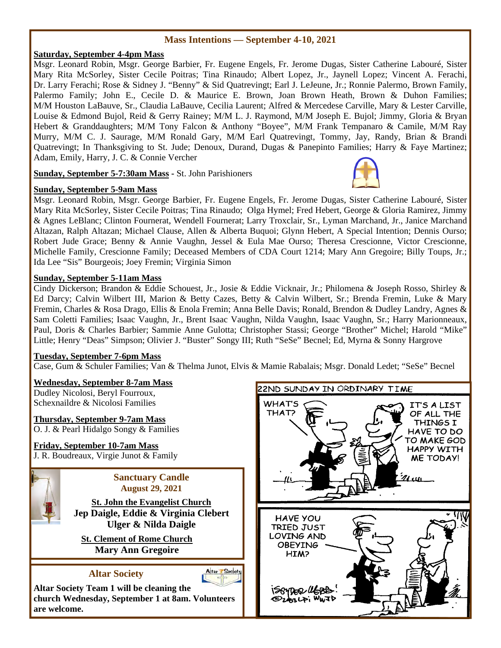#### **Mass Intentions — September 4-10, 2021**

#### **Saturday, September 4-4pm Mass**

Msgr. Leonard Robin, Msgr. George Barbier, Fr. Eugene Engels, Fr. Jerome Dugas, Sister Catherine Labouré, Sister Mary Rita McSorley, Sister Cecile Poitras; Tina Rinaudo; Albert Lopez, Jr., Jaynell Lopez; Vincent A. Ferachi, Dr. Larry Ferachi; Rose & Sidney J. "Benny" & Sid Quatrevingt; Earl J. LeJeune, Jr.; Ronnie Palermo, Brown Family, Palermo Family; John E., Cecile D. & Maurice E. Brown, Joan Brown Heath, Brown & Duhon Families; M/M Houston LaBauve, Sr., Claudia LaBauve, Cecilia Laurent; Alfred & Mercedese Carville, Mary & Lester Carville, Louise & Edmond Bujol, Reid & Gerry Rainey; M/M L. J. Raymond, M/M Joseph E. Bujol; Jimmy, Gloria & Bryan Hebert & Granddaughters; M/M Tony Falcon & Anthony "Boyee", M/M Frank Tempanaro & Camile, M/M Ray Murry, M/M C. J. Saurage, M/M Ronald Gary, M/M Earl Quatrevingt, Tommy, Jay, Randy, Brian & Brandi Quatrevingt; In Thanksgiving to St. Jude; Denoux, Durand, Dugas & Panepinto Families; Harry & Faye Martinez; Adam, Emily, Harry, J. C. & Connie Vercher

**Sunday, September 5-7:30am Mass -** St. John Parishioners

#### **Sunday, September 5-9am Mass**

Msgr. Leonard Robin, Msgr. George Barbier, Fr. Eugene Engels, Fr. Jerome Dugas, Sister Catherine Labouré, Sister Mary Rita McSorley, Sister Cecile Poitras; Tina Rinaudo; Olga Hymel; Fred Hebert, George & Gloria Ramirez, Jimmy & Agnes LeBlanc; Clinton Fournerat, Wendell Fournerat; Larry Troxclair, Sr., Lyman Marchand, Jr., Janice Marchand Altazan, Ralph Altazan; Michael Clause, Allen & Alberta Buquoi; Glynn Hebert, A Special Intention; Dennis Ourso; Robert Jude Grace; Benny & Annie Vaughn, Jessel & Eula Mae Ourso; Theresa Crescionne, Victor Crescionne, Michelle Family, Crescionne Family; Deceased Members of CDA Court 1214; Mary Ann Gregoire; Billy Toups, Jr.; Ida Lee "Sis" Bourgeois; Joey Fremin; Virginia Simon

#### **Sunday, September 5-11am Mass**

Cindy Dickerson; Brandon & Eddie Schouest, Jr., Josie & Eddie Vicknair, Jr.; Philomena & Joseph Rosso, Shirley & Ed Darcy; Calvin Wilbert III, Marion & Betty Cazes, Betty & Calvin Wilbert, Sr.; Brenda Fremin, Luke & Mary Fremin, Charles & Rosa Drago, Ellis & Enola Fremin; Anna Belle Davis; Ronald, Brendon & Dudley Landry, Agnes & Sam Coletti Families; Isaac Vaughn, Jr., Brent Isaac Vaughn, Nilda Vaughn, Isaac Vaughn, Sr.; Harry Marionneaux, Paul, Doris & Charles Barbier; Sammie Anne Gulotta; Christopher Stassi; George "Brother" Michel; Harold "Mike" Little; Henry "Deas" Simpson; Olivier J. "Buster" Songy III; Ruth "SeSe" Becnel; Ed, Myrna & Sonny Hargrove

#### **Tuesday, September 7-6pm Mass**

Case, Gum & Schuler Families; Van & Thelma Junot, Elvis & Mamie Rabalais; Msgr. Donald Ledet; "SeSe" Becnel

#### **Wednesday, September 8-7am Mass**

Dudley Nicolosi, Beryl Fourroux, Schexnaildre & Nicolosi Families

#### **Thursday, September 9-7am Mass**

O. J. & Pearl Hidalgo Songy & Families

## **Friday, September 10-7am Mass**

J. R. Boudreaux, Virgie Junot & Family



**Sanctuary Candle August 29, 2021** 

**St. John the Evangelist Church Jep Daigle, Eddie & Virginia Clebert Ulger & Nilda Daigle** 

**St. Clement of Rome Church Mary Ann Gregoire** 

## **Altar Society**



**Altar Society Team 1 will be cleaning the church Wednesday, September 1 at 8am. Volunteers are welcome.** 



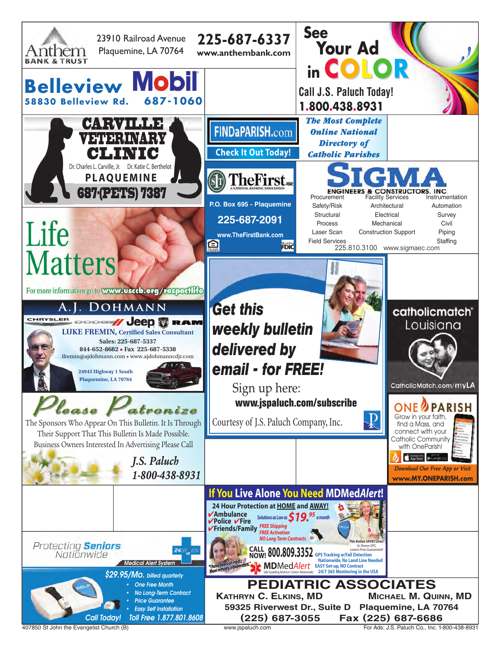